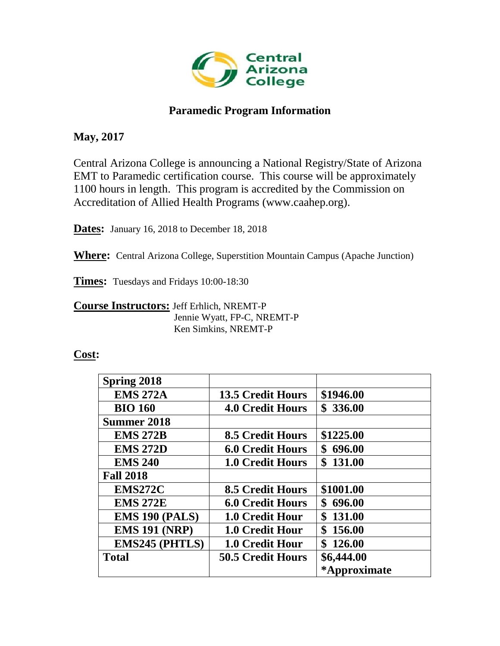

# **Paramedic Program Information**

# **May, 2017**

Central Arizona College is announcing a National Registry/State of Arizona EMT to Paramedic certification course. This course will be approximately 1100 hours in length. This program is accredited by the Commission on Accreditation of Allied Health Programs (www.caahep.org).

**Dates:** January 16, 2018 to December 18, 2018

**Where:** Central Arizona College, Superstition Mountain Campus (Apache Junction)

**Times:** Tuesdays and Fridays 10:00-18:30

**Course Instructors:** Jeff Erhlich, NREMT-P Jennie Wyatt, FP-C, NREMT-P Ken Simkins, NREMT-P

## **Cost:**

| <b>Spring 2018</b>    |                          |              |
|-----------------------|--------------------------|--------------|
| <b>EMS 272A</b>       | <b>13.5 Credit Hours</b> | \$1946.00    |
| <b>BIO 160</b>        | <b>4.0 Credit Hours</b>  | \$336.00     |
| <b>Summer 2018</b>    |                          |              |
| <b>EMS 272B</b>       | <b>8.5 Credit Hours</b>  | \$1225.00    |
| <b>EMS 272D</b>       | <b>6.0 Credit Hours</b>  | 696.00<br>\$ |
| <b>EMS 240</b>        | <b>1.0 Credit Hours</b>  | \$131.00     |
| <b>Fall 2018</b>      |                          |              |
| EMS272C               | <b>8.5 Credit Hours</b>  | \$1001.00    |
| <b>EMS 272E</b>       | <b>6.0 Credit Hours</b>  | \$<br>696.00 |
| <b>EMS 190 (PALS)</b> | <b>1.0 Credit Hour</b>   | \$131.00     |
| <b>EMS 191 (NRP)</b>  | <b>1.0 Credit Hour</b>   | \$156.00     |
| <b>EMS245 (PHTLS)</b> | 1.0 Credit Hour          | \$126.00     |
| <b>Total</b>          | <b>50.5 Credit Hours</b> | \$6,444.00   |
|                       |                          | *Approximate |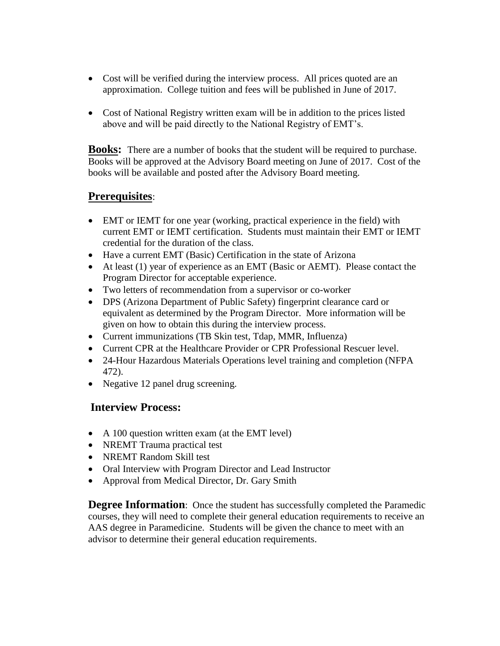- Cost will be verified during the interview process. All prices quoted are an approximation. College tuition and fees will be published in June of 2017.
- Cost of National Registry written exam will be in addition to the prices listed above and will be paid directly to the National Registry of EMT's.

**Books:** There are a number of books that the student will be required to purchase. Books will be approved at the Advisory Board meeting on June of 2017. Cost of the books will be available and posted after the Advisory Board meeting.

# **Prerequisites**:

- EMT or IEMT for one year (working, practical experience in the field) with current EMT or IEMT certification. Students must maintain their EMT or IEMT credential for the duration of the class.
- Have a current EMT (Basic) Certification in the state of Arizona
- At least (1) year of experience as an EMT (Basic or AEMT). Please contact the Program Director for acceptable experience.
- Two letters of recommendation from a supervisor or co-worker
- DPS (Arizona Department of Public Safety) fingerprint clearance card or equivalent as determined by the Program Director. More information will be given on how to obtain this during the interview process.
- Current immunizations (TB Skin test, Tdap, MMR, Influenza)
- Current CPR at the Healthcare Provider or CPR Professional Rescuer level.
- 24-Hour Hazardous Materials Operations level training and completion (NFPA) 472).
- Negative 12 panel drug screening.

# **Interview Process:**

- A 100 question written exam (at the EMT level)
- NREMT Trauma practical test
- NREMT Random Skill test
- Oral Interview with Program Director and Lead Instructor
- Approval from Medical Director, Dr. Gary Smith

**Degree Information**: Once the student has successfully completed the Paramedic courses, they will need to complete their general education requirements to receive an AAS degree in Paramedicine. Students will be given the chance to meet with an advisor to determine their general education requirements.